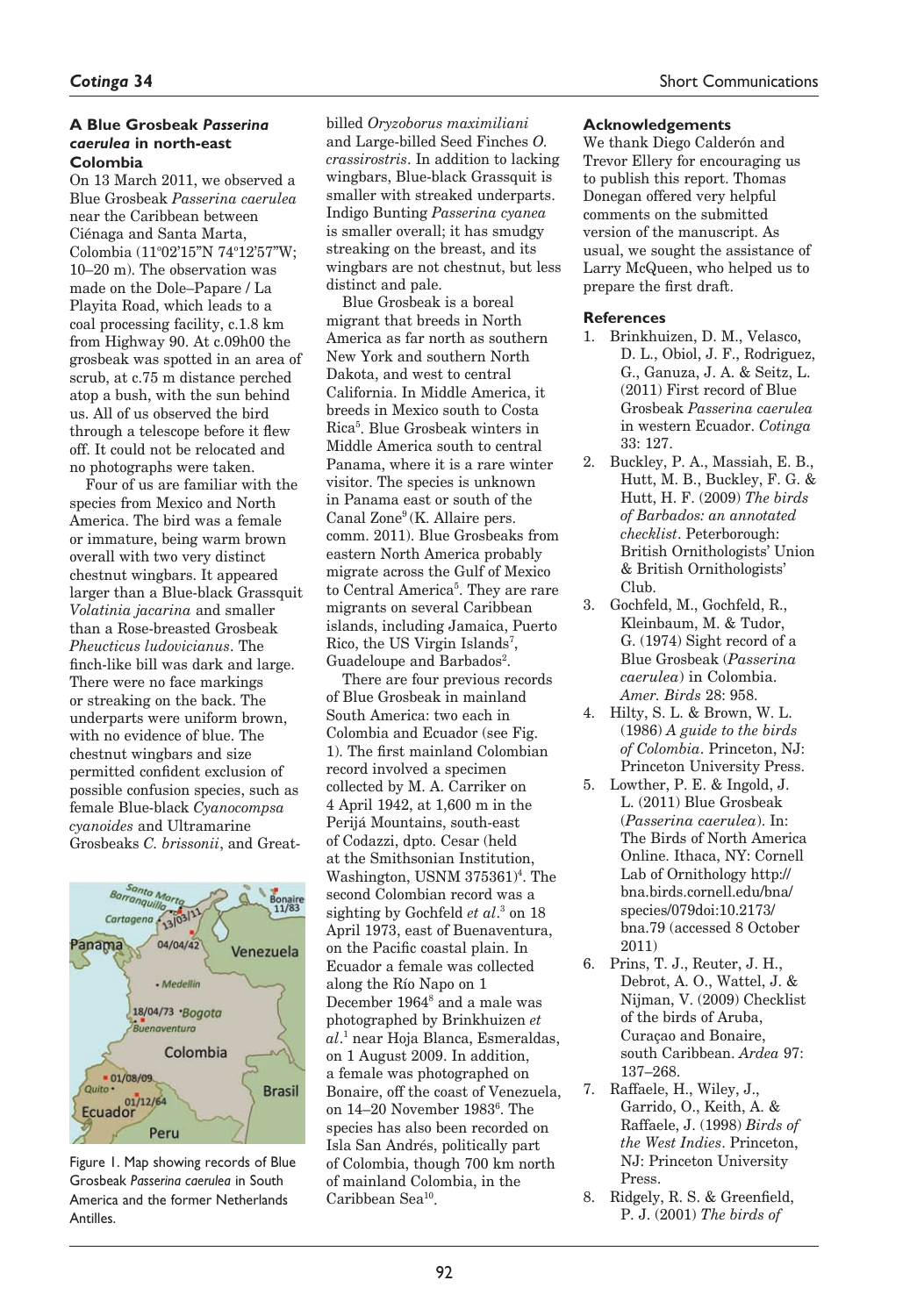## **A Blue Grosbeak** *Passerina caerulea* **in north-east Colombia**

On 13 March 2011, we observed a Blue Grosbeak *Passerina caerulea*  near the Caribbean between Ciénaga and Santa Marta, Colombia (11°02'15"N 74°12'57"W; 10–20 m). The observation was made on the Dole–Papare / La Playita Road, which leads to a coal processing facility, c.1.8 km from Highway 90. At c.09h00 the grosbeak was spotted in an area of scrub, at c.75 m distance perched atop a bush, with the sun behind us. All of us observed the bird through a telescope before it flew off. It could not be relocated and no photographs were taken.

Four of us are familiar with the species from Mexico and North America. The bird was a female or immature, being warm brown overall with two very distinct chestnut wingbars. It appeared larger than a Blue-black Grassquit *Volatinia jacarina* and smaller than a Rose-breasted Grosbeak *Pheucticus ludovicianus*. The finch-like bill was dark and large. There were no face markings or streaking on the back. The underparts were uniform brown, with no evidence of blue. The chestnut wingbars and size permitted confident exclusion of possible confusion species, such as female Blue-black *Cyanocompsa cyanoides* and Ultramarine Grosbeaks *C. brissonii*, and Great-



Figure 1. Map showing records of Blue Grosbeak *Passerina caerulea* in South America and the former Netherlands Antilles.

billed *Oryzoborus maximiliani* and Large-billed Seed Finches *O. crassirostris*. In addition to lacking wingbars, Blue-black Grassquit is smaller with streaked underparts. Indigo Bunting *Passerina cyanea* is smaller overall; it has smudgy streaking on the breast, and its wingbars are not chestnut, but less distinct and pale.

Blue Grosbeak is a boreal migrant that breeds in North America as far north as southern New York and southern North Dakota, and west to central California. In Middle America, it breeds in Mexico south to Costa Rica5 . Blue Grosbeak winters in Middle America south to central Panama, where it is a rare winter visitor. The species is unknown in Panama east or south of the Canal Zone9 (K. Allaire pers. comm. 2011). Blue Grosbeaks from eastern North America probably migrate across the Gulf of Mexico to Central America<sup>5</sup>. They are rare migrants on several Caribbean islands, including Jamaica, Puerto Rico, the US Virgin Islands<sup>7</sup>, Guadeloupe and Barbados<sup>2</sup>.

There are four previous records of Blue Grosbeak in mainland South America: two each in Colombia and Ecuador (see Fig. 1). The first mainland Colombian record involved a specimen collected by M. A. Carriker on 4 April 1942, at 1,600 m in the Perijá Mountains, south-east of Codazzi, dpto. Cesar (held at the Smithsonian Institution, Washington, USNM 375361<sup>4</sup>. The second Colombian record was a sighting by Gochfeld *et al*. 3 on 18 April 1973, east of Buenaventura, on the Pacific coastal plain. In Ecuador a female was collected along the Río Napo on 1 December 1964<sup>8</sup> and a male was photographed by Brinkhuizen *et al*. 1 near Hoja Blanca, Esmeraldas, on 1 August 2009. In addition, a female was photographed on Bonaire, off the coast of Venezuela, on 14–20 November 19836 . The species has also been recorded on Isla San Andrés, politically part of Colombia, though 700 km north of mainland Colombia, in the Caribbean Sea10.

## **Acknowledgements**

We thank Diego Calderón and Trevor Ellery for encouraging us to publish this report. Thomas Donegan offered very helpful comments on the submitted version of the manuscript. As usual, we sought the assistance of Larry McQueen, who helped us to prepare the first draft.

### **References**

- 1. Brinkhuizen, D. M., Velasco, D. L., Obiol, J. F., Rodriguez, G., Ganuza, J. A. & Seitz, L. (2011) First record of Blue Grosbeak *Passerina caerulea* in western Ecuador. *Cotinga* 33: 127.
- 2. Buckley, P. A., Massiah, E. B., Hutt, M. B., Buckley, F. G. & Hutt, H. F. (2009) *The birds of Barbados: an annotated checklist*. Peterborough: British Ornithologists' Union & British Ornithologists' Club.
- 3. Gochfeld, M., Gochfeld, R., Kleinbaum, M. & Tudor, G. (1974) Sight record of a Blue Grosbeak (*Passerina caerulea*) in Colombia. *Amer. Birds* 28: 958.
- 4. Hilty, S. L. & Brown, W. L. (1986) *A guide to the birds of Colombia*. Princeton, NJ: Princeton University Press.
- 5. Lowther, P. E. & Ingold, J. L. (2011) Blue Grosbeak (*Passerina caerulea*). In: The Birds of North America Online. Ithaca, NY: Cornell Lab of Ornithology http:// bna.birds.cornell.edu/bna/ species/079doi:10.2173/ bna.79 (accessed 8 October 2011)
- 6. Prins, T. J., Reuter, J. H., Debrot, A. O., Wattel, J. & Nijman, V. (2009) Checklist of the birds of Aruba, Curaçao and Bonaire, south Caribbean. *Ardea* 97: 137–268.
- 7. Raffaele, H., Wiley, J., Garrido, O., Keith, A. & Raffaele, J. (1998) *Birds of the West Indies*. Princeton, NJ: Princeton University Press.
- 8. Ridgely, R. S. & Greenfield, P. J. (2001) *The birds of*